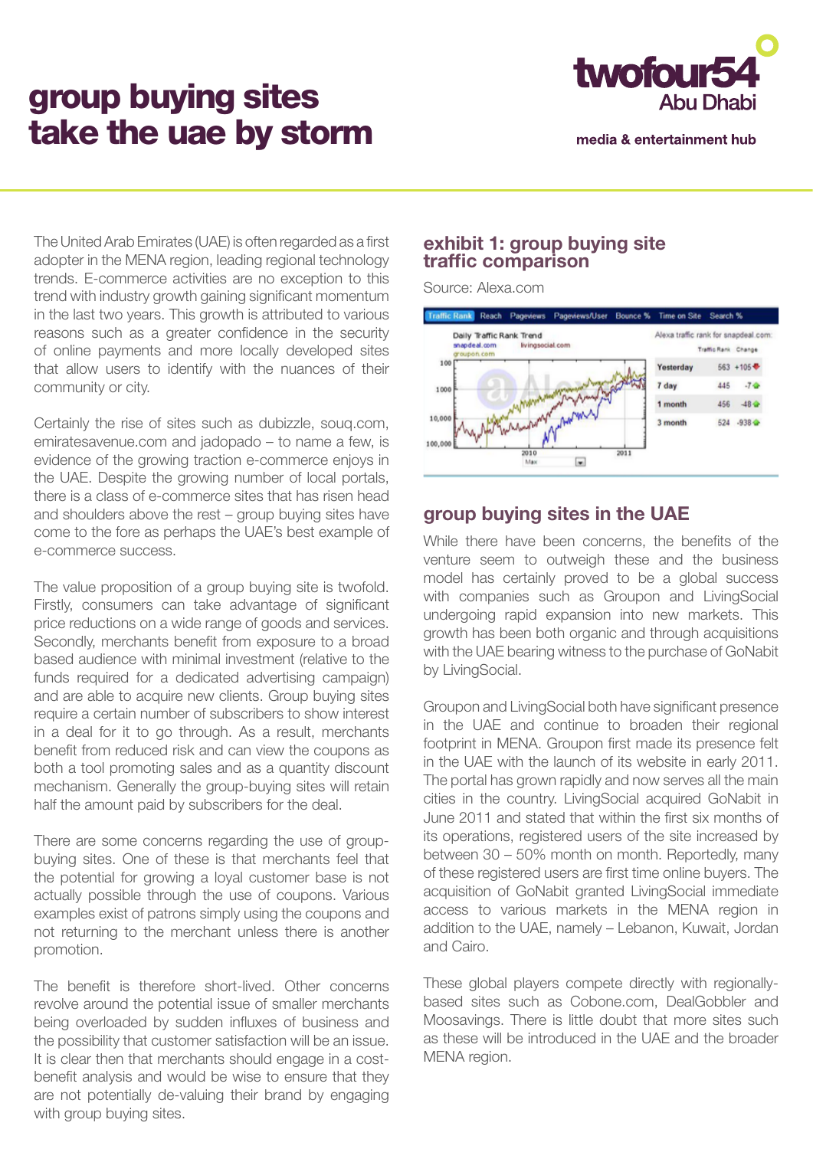# group buying sites take the uae by storm



media & entertainment hub

The United Arab Emirates (UAE) is often regarded as a first adopter in the MENA region, leading regional technology trends. E-commerce activities are no exception to this trend with industry growth gaining significant momentum in the last two years. This growth is attributed to various reasons such as a greater confidence in the security of online payments and more locally developed sites that allow users to identify with the nuances of their community or city.

Certainly the rise of sites such as dubizzle, souq.com, emiratesavenue.com and jadopado – to name a few, is evidence of the growing traction e-commerce enjoys in the UAE. Despite the growing number of local portals, there is a class of e-commerce sites that has risen head and shoulders above the rest – group buying sites have come to the fore as perhaps the UAE's best example of e-commerce success.

The value proposition of a group buying site is twofold. Firstly, consumers can take advantage of significant price reductions on a wide range of goods and services. Secondly, merchants benefit from exposure to a broad based audience with minimal investment (relative to the funds required for a dedicated advertising campaign) and are able to acquire new clients. Group buying sites require a certain number of subscribers to show interest in a deal for it to go through. As a result, merchants benefit from reduced risk and can view the coupons as both a tool promoting sales and as a quantity discount mechanism. Generally the group-buying sites will retain half the amount paid by subscribers for the deal.

There are some concerns regarding the use of groupbuying sites. One of these is that merchants feel that the potential for growing a loyal customer base is not actually possible through the use of coupons. Various examples exist of patrons simply using the coupons and not returning to the merchant unless there is another promotion.

The benefit is therefore short-lived. Other concerns revolve around the potential issue of smaller merchants being overloaded by sudden influxes of business and the possibility that customer satisfaction will be an issue. It is clear then that merchants should engage in a costbenefit analysis and would be wise to ensure that they are not potentially de-valuing their brand by engaging with group buying sites.

### **exhibit 1: group buying site traffic comparison**

Source: Alexa.com



## **group buying sites in the UAE**

While there have been concerns, the benefits of the venture seem to outweigh these and the business model has certainly proved to be a global success with companies such as Groupon and LivingSocial undergoing rapid expansion into new markets. This growth has been both organic and through acquisitions with the UAE bearing witness to the purchase of GoNabit by LivingSocial.

Groupon and LivingSocial both have significant presence in the UAE and continue to broaden their regional footprint in MENA. Groupon first made its presence felt in the UAE with the launch of its website in early 2011. The portal has grown rapidly and now serves all the main cities in the country. LivingSocial acquired GoNabit in June 2011 and stated that within the first six months of its operations, registered users of the site increased by between 30 – 50% month on month. Reportedly, many of these registered users are first time online buyers. The acquisition of GoNabit granted LivingSocial immediate access to various markets in the MENA region in addition to the UAE, namely – Lebanon, Kuwait, Jordan and Cairo.

These global players compete directly with regionallybased sites such as Cobone.com, DealGobbler and Moosavings. There is little doubt that more sites such as these will be introduced in the UAE and the broader MENA region.